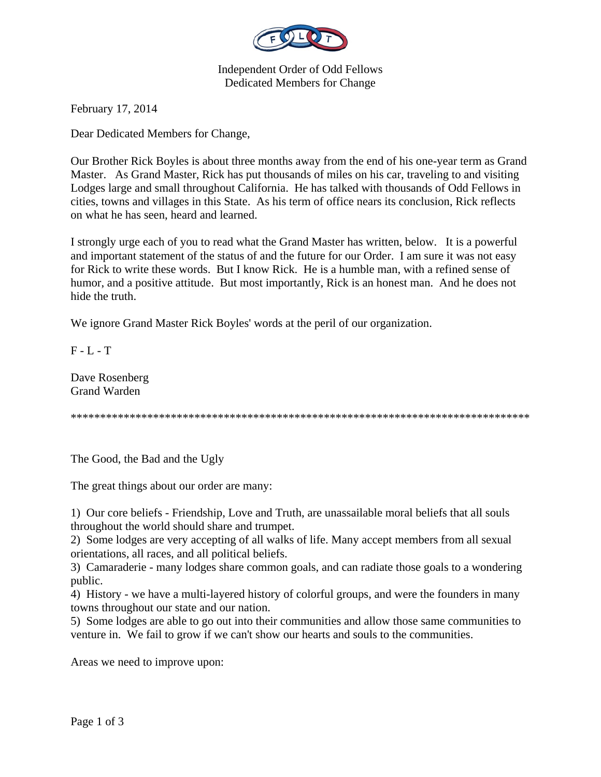

Independent Order of Odd Fellows Dedicated Members for Change

February 17, 2014

Dear Dedicated Members for Change,

Our Brother Rick Boyles is about three months away from the end of his one-year term as Grand Master. As Grand Master, Rick has put thousands of miles on his car, traveling to and visiting Lodges large and small throughout California. He has talked with thousands of Odd Fellows in cities, towns and villages in this State. As his term of office nears its conclusion, Rick reflects on what he has seen, heard and learned.

I strongly urge each of you to read what the Grand Master has written, below. It is a powerful and important statement of the status of and the future for our Order. I am sure it was not easy for Rick to write these words. But I know Rick. He is a humble man, with a refined sense of humor, and a positive attitude. But most importantly, Rick is an honest man. And he does not hide the truth.

We ignore Grand Master Rick Boyles' words at the peril of our organization.

F - L - T

Dave Rosenberg Grand Warden

\*\*\*\*\*\*\*\*\*\*\*\*\*\*\*\*\*\*\*\*\*\*\*\*\*\*\*\*\*\*\*\*\*\*\*\*\*\*\*\*\*\*\*\*\*\*\*\*\*\*\*\*\*\*\*\*\*\*\*\*\*\*\*\*\*\*\*\*\*\*\*\*\*\*\*\*\*\*

The Good, the Bad and the Ugly

The great things about our order are many:

1) Our core beliefs - Friendship, Love and Truth, are unassailable moral beliefs that all souls throughout the world should share and trumpet.

2) Some lodges are very accepting of all walks of life. Many accept members from all sexual orientations, all races, and all political beliefs.

3) Camaraderie - many lodges share common goals, and can radiate those goals to a wondering public.

4) History - we have a multi-layered history of colorful groups, and were the founders in many towns throughout our state and our nation.

5) Some lodges are able to go out into their communities and allow those same communities to venture in. We fail to grow if we can't show our hearts and souls to the communities.

Areas we need to improve upon: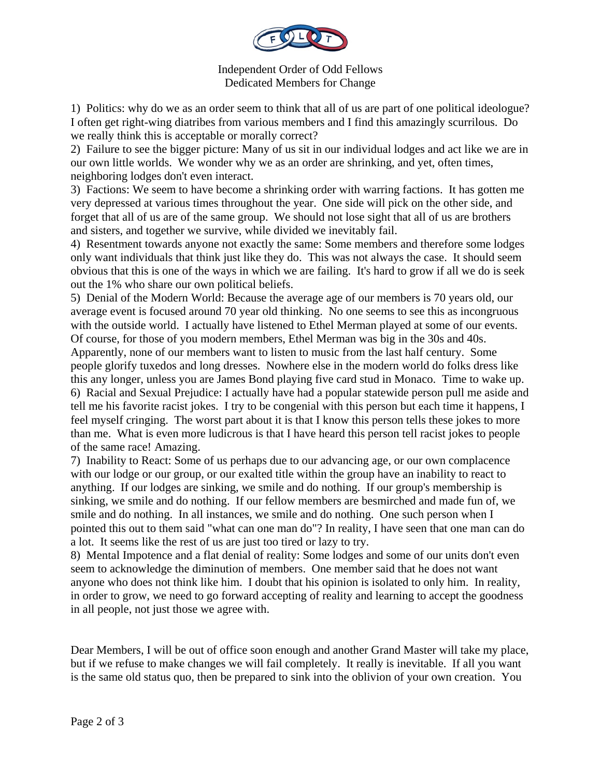

Independent Order of Odd Fellows Dedicated Members for Change

1) Politics: why do we as an order seem to think that all of us are part of one political ideologue? I often get right-wing diatribes from various members and I find this amazingly scurrilous. Do we really think this is acceptable or morally correct?

2) Failure to see the bigger picture: Many of us sit in our individual lodges and act like we are in our own little worlds. We wonder why we as an order are shrinking, and yet, often times, neighboring lodges don't even interact.

3) Factions: We seem to have become a shrinking order with warring factions. It has gotten me very depressed at various times throughout the year. One side will pick on the other side, and forget that all of us are of the same group. We should not lose sight that all of us are brothers and sisters, and together we survive, while divided we inevitably fail.

4) Resentment towards anyone not exactly the same: Some members and therefore some lodges only want individuals that think just like they do. This was not always the case. It should seem obvious that this is one of the ways in which we are failing. It's hard to grow if all we do is seek out the 1% who share our own political beliefs.

5) Denial of the Modern World: Because the average age of our members is 70 years old, our average event is focused around 70 year old thinking. No one seems to see this as incongruous with the outside world. I actually have listened to Ethel Merman played at some of our events. Of course, for those of you modern members, Ethel Merman was big in the 30s and 40s. Apparently, none of our members want to listen to music from the last half century. Some people glorify tuxedos and long dresses. Nowhere else in the modern world do folks dress like this any longer, unless you are James Bond playing five card stud in Monaco. Time to wake up. 6) Racial and Sexual Prejudice: I actually have had a popular statewide person pull me aside and tell me his favorite racist jokes. I try to be congenial with this person but each time it happens, I feel myself cringing. The worst part about it is that I know this person tells these jokes to more than me. What is even more ludicrous is that I have heard this person tell racist jokes to people of the same race! Amazing.

7) Inability to React: Some of us perhaps due to our advancing age, or our own complacence with our lodge or our group, or our exalted title within the group have an inability to react to anything. If our lodges are sinking, we smile and do nothing. If our group's membership is sinking, we smile and do nothing. If our fellow members are besmirched and made fun of, we smile and do nothing. In all instances, we smile and do nothing. One such person when I pointed this out to them said "what can one man do"? In reality, I have seen that one man can do a lot. It seems like the rest of us are just too tired or lazy to try.

8) Mental Impotence and a flat denial of reality: Some lodges and some of our units don't even seem to acknowledge the diminution of members. One member said that he does not want anyone who does not think like him. I doubt that his opinion is isolated to only him. In reality, in order to grow, we need to go forward accepting of reality and learning to accept the goodness in all people, not just those we agree with.

Dear Members, I will be out of office soon enough and another Grand Master will take my place, but if we refuse to make changes we will fail completely. It really is inevitable. If all you want is the same old status quo, then be prepared to sink into the oblivion of your own creation. You